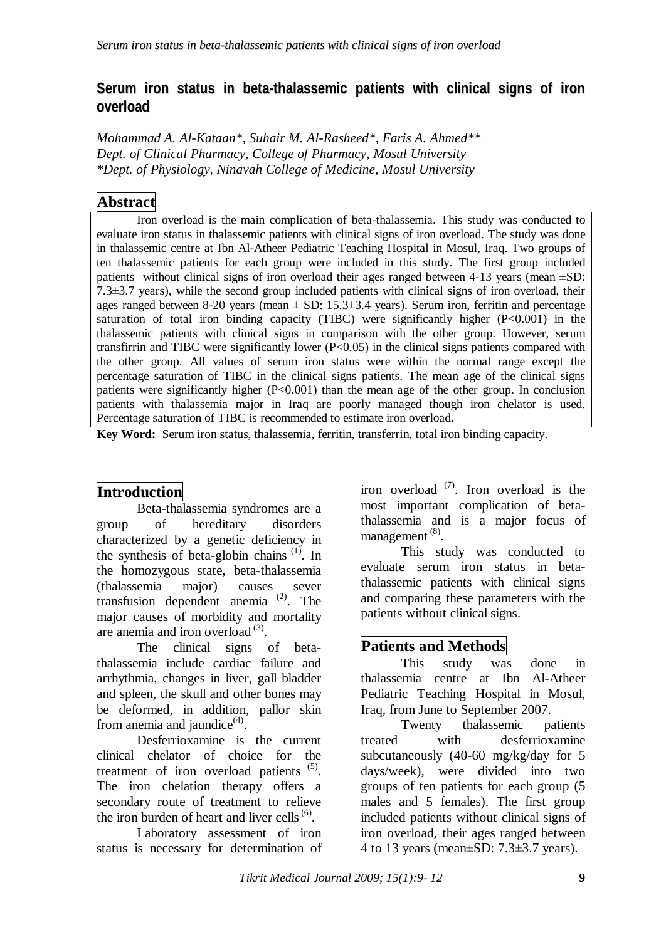### **Serum iron status in beta-thalassemic patients with clinical signs of iron overload**

*Mohammad A. Al-Kataan\*, Suhair M. Al-Rasheed\*, Faris A. Ahmed\*\* Dept. of Clinical Pharmacy, College of Pharmacy, Mosul University \*Dept. of Physiology, Ninavah College of Medicine, Mosul University*

# **Abstract**

Iron overload is the main complication of beta-thalassemia. This study was conducted to evaluate iron status in thalassemic patients with clinical signs of iron overload. The study was done in thalassemic centre at Ibn Al-Atheer Pediatric Teaching Hospital in Mosul, Iraq. Two groups of ten thalassemic patients for each group were included in this study. The first group included patients without clinical signs of iron overload their ages ranged between 4-13 years (mean ±SD:  $7.3\pm3.7$  years), while the second group included patients with clinical signs of iron overload, their ages ranged between 8-20 years (mean  $\pm$  SD: 15.3 $\pm$ 3.4 years). Serum iron, ferritin and percentage saturation of total iron binding capacity (TIBC) were significantly higher (P<0.001) in the thalassemic patients with clinical signs in comparison with the other group. However, serum transfirrin and TIBC were significantly lower (P<0.05) in the clinical signs patients compared with the other group. All values of serum iron status were within the normal range except the percentage saturation of TIBC in the clinical signs patients. The mean age of the clinical signs patients were significantly higher (P<0.001) than the mean age of the other group. In conclusion patients with thalassemia major in Iraq are poorly managed though iron chelator is used. Percentage saturation of TIBC is recommended to estimate iron overload.

**Key Word:** Serum iron status, thalassemia, ferritin, transferrin, total iron binding capacity.

## **Introduction**

Beta-thalassemia syndromes are a group of hereditary disorders characterized by a genetic deficiency in the synthesis of beta-globin chains  $(1)$ . In the homozygous state, beta-thalassemia (thalassemia major) causes sever transfusion dependent anemia (2) . The major causes of morbidity and mortality are anemia and iron overload<sup>(3)</sup>.

The clinical signs of betathalassemia include cardiac failure and arrhythmia, changes in liver, gall bladder and spleen, the skull and other bones may be deformed, in addition, pallor skin from anemia and jaundice $^{(4)}$ .

Desferrioxamine is the current clinical chelator of choice for the treatment of iron overload patients  $(5)$ . The iron chelation therapy offers a secondary route of treatment to relieve the iron burden of heart and liver cells $<sup>(6)</sup>$ .</sup>

Laboratory assessment of iron status is necessary for determination of

iron overload  $(7)$ . Iron overload is the most important complication of betathalassemia and is a major focus of management (8).

This study was conducted to evaluate serum iron status in betathalassemic patients with clinical signs and comparing these parameters with the patients without clinical signs.

#### **Patients and Methods**

This study was done in thalassemia centre at Ibn Al-Atheer Pediatric Teaching Hospital in Mosul, Iraq, from June to September 2007.

Twenty thalassemic patients treated with desferrioxamine subcutaneously (40-60 mg/kg/day for 5 days/week), were divided into two groups of ten patients for each group (5 males and 5 females). The first group included patients without clinical signs of iron overload, their ages ranged between 4 to 13 years (mean±SD: 7.3±3.7 years).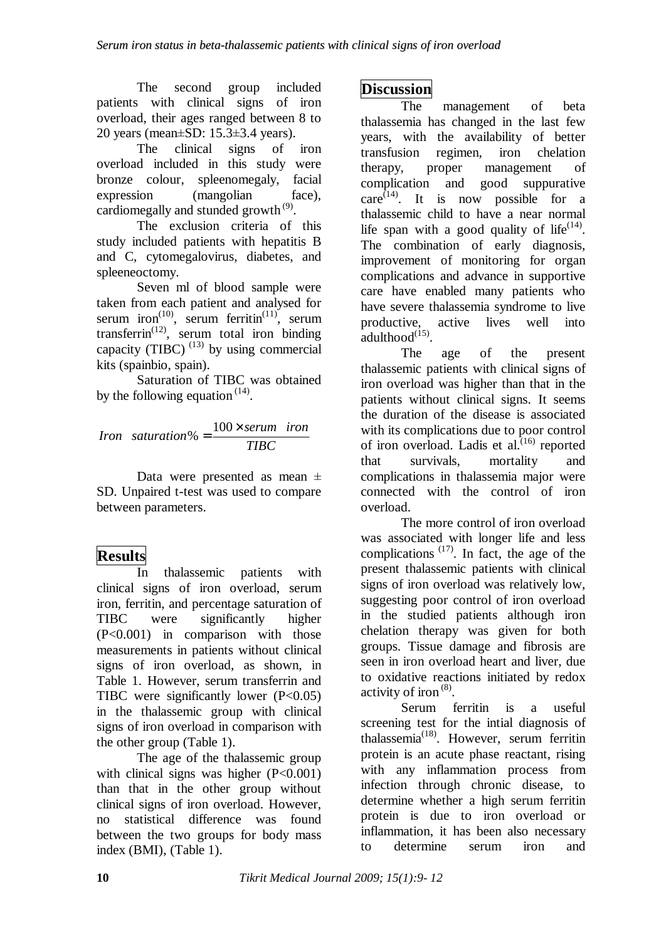The second group included patients with clinical signs of iron overload, their ages ranged between 8 to 20 years (mean±SD: 15.3±3.4 years).

The clinical signs of iron overload included in this study were bronze colour, spleenomegaly, facial expression (mangolian face), cardiomegally and stunded growth<sup>(9)</sup>.

The exclusion criteria of this study included patients with hepatitis B and C, cytomegalovirus, diabetes, and spleeneoctomy.

Seven ml of blood sample were taken from each patient and analysed for serum iron<sup>(10)</sup>, serum ferritin<sup>(11)</sup>, serum transferrin<sup>(12)</sup>, serum total iron binding capacity (TIBC)  $^{(13)}$  by using commercial kits (spainbio, spain).

Saturation of TIBC was obtained by the following equation  $(14)$ .

$$
Iron saturation\% = \frac{100 \times serum\ iron}{TBC}
$$

Data were presented as mean  $\pm$ SD. Unpaired t-test was used to compare between parameters.

## **Results**

In thalassemic patients with clinical signs of iron overload, serum iron, ferritin, and percentage saturation of TIBC were significantly higher (P<0.001) in comparison with those measurements in patients without clinical signs of iron overload, as shown, in Table 1. However, serum transferrin and TIBC were significantly lower  $(P<0.05)$ in the thalassemic group with clinical signs of iron overload in comparison with the other group (Table 1).

The age of the thalassemic group with clinical signs was higher  $(P<0.001)$ than that in the other group without clinical signs of iron overload. However, no statistical difference was found between the two groups for body mass index (BMI), (Table 1).

### **Discussion**

The management of beta thalassemia has changed in the last few years, with the availability of better transfusion regimen, iron chelation therapy, proper management of complication and good suppurative care<sup>(14)</sup>. It is now possible for a thalassemic child to have a near normal life span with a good quality of life<sup> $(14)$ </sup>. The combination of early diagnosis, improvement of monitoring for organ complications and advance in supportive care have enabled many patients who have severe thalassemia syndrome to live active lives well into  $adulthood<sup>(15)</sup>$ .

The age of the present thalassemic patients with clinical signs of iron overload was higher than that in the patients without clinical signs. It seems the duration of the disease is associated with its complications due to poor control of iron overload. Ladis et al.<sup>(16)</sup> reported that survivals, mortality and complications in thalassemia major were connected with the control of iron overload.

The more control of iron overload was associated with longer life and less complications  $(17)$ . In fact, the age of the present thalassemic patients with clinical signs of iron overload was relatively low, suggesting poor control of iron overload in the studied patients although iron chelation therapy was given for both groups. Tissue damage and fibrosis are seen in iron overload heart and liver, due to oxidative reactions initiated by redox activity of iron<sup>(8)</sup>.

Serum ferritin is a useful screening test for the intial diagnosis of thalassemia<sup>(18)</sup>. However, serum ferritin protein is an acute phase reactant, rising with any inflammation process from infection through chronic disease, to determine whether a high serum ferritin protein is due to iron overload or inflammation, it has been also necessary to determine serum iron and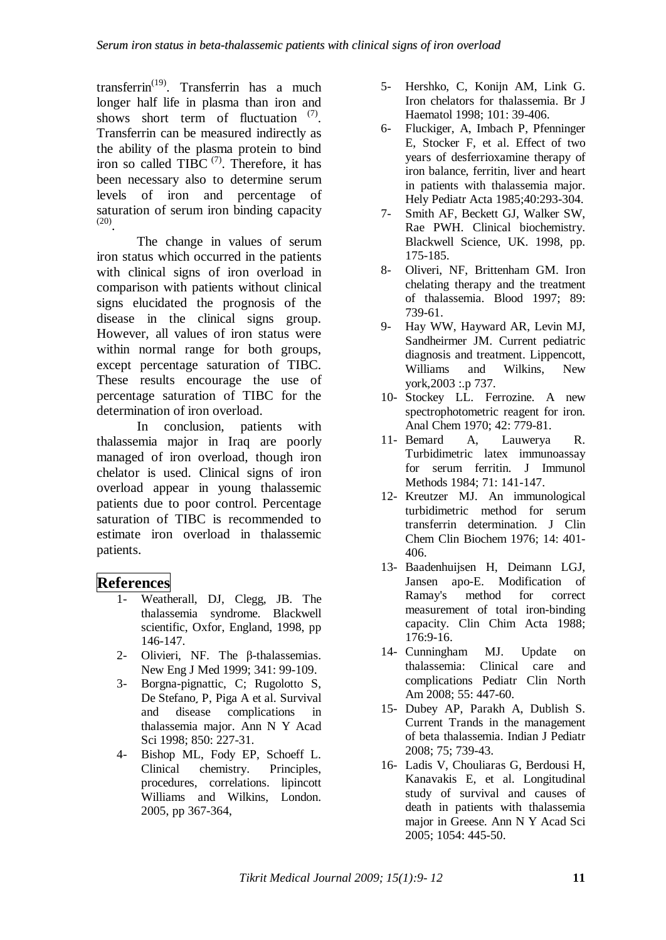transferrin<sup>(19)</sup>. Transferrin has a much longer half life in plasma than iron and shows short term of fluctuation <sup>(7)</sup>. Transferrin can be measured indirectly as the ability of the plasma protein to bind iron so called TIBC  $(7)$ . Therefore, it has been necessary also to determine serum levels of iron and percentage of saturation of serum iron binding capacity (20) .

The change in values of serum iron status which occurred in the patients with clinical signs of iron overload in comparison with patients without clinical signs elucidated the prognosis of the disease in the clinical signs group. However, all values of iron status were within normal range for both groups, except percentage saturation of TIBC. These results encourage the use of percentage saturation of TIBC for the determination of iron overload.

In conclusion, patients with thalassemia major in Iraq are poorly managed of iron overload, though iron chelator is used. Clinical signs of iron overload appear in young thalassemic patients due to poor control. Percentage saturation of TIBC is recommended to estimate iron overload in thalassemic patients.

#### **References**

- 1- Weatherall, DJ, Clegg, JB. The thalassemia syndrome. Blackwell scientific, Oxfor, England, 1998, pp 146-147.
- 2- Olivieri, NF. The β-thalassemias. New Eng J Med 1999; 341: 99-109.
- 3- Borgna-pignattic, C; Rugolotto S, De Stefanoٍ P, Piga A et al. Survival and disease complications in thalassemia major. Ann N Y Acad Sci 1998; 850: 227-31.
- 4- Bishop ML, Fody EP, Schoeff L. Clinical chemistry. Principles, procedures, correlations. lipincott Williams and Wilkins, London. 2005, pp 367-364,
- 5- Hershko, C, Konijn AM, Link G. Iron chelators for thalassemia. Br J Haematol 1998; 101: 39-406.
- 6- Fluckiger, A, Imbach P, Pfenninger E, Stocker F, et al. Effect of two years of desferrioxamine therapy of iron balance, ferritin, liver and heart in patients with thalassemia major. Hely Pediatr Acta 1985;40:293-304.
- 7- Smith AF, Beckett GJ, Walker SW, Rae PWH. Clinical biochemistry. Blackwell Science, UK. 1998, pp. 175-185.
- 8- Oliveri, NF, Brittenham GM. Iron chelating therapy and the treatment of thalassemia. Blood 1997; 89: 739-61.
- 9- Hay WW, Hayward AR, Levin MJ, Sandheirmer JM. Current pediatric diagnosis and treatment. Lippencott, Williams and Wilkins, New york,2003 :.p 737.
- 10- Stockey LL. Ferrozine. A new spectrophotometric reagent for iron. Anal Chem 1970; 42: 779-81.
- 11- Bemard A, Lauwerya R. Turbidimetric latex immunoassay for serum ferritin. J Immunol Methods 1984; 71: 141-147.
- 12- Kreutzer MJ. An immunological turbidimetric method for serum transferrin determination. J Clin Chem Clin Biochem 1976; 14: 401- 406.
- 13- Baadenhuijsen H, Deimann LGJ, Jansen apo-E. Modification of Ramay's method for correct measurement of total iron-binding capacity. Clin Chim Acta 1988; 176:9-16.
- 14- Cunningham MJ. Update on thalassemia: Clinical care and complications Pediatr Clin North Am 2008; 55: 447-60.
- 15- Dubey AP, Parakh A, Dublish S. Current Trands in the management of beta thalassemia. Indian J Pediatr 2008; 75; 739-43.
- 16- Ladis V, Chouliaras G, Berdousi H, Kanavakis E, et al. Longitudinal study of survival and causes of death in patients with thalassemia major in Greese. Ann N Y Acad Sci 2005; 1054: 445-50.